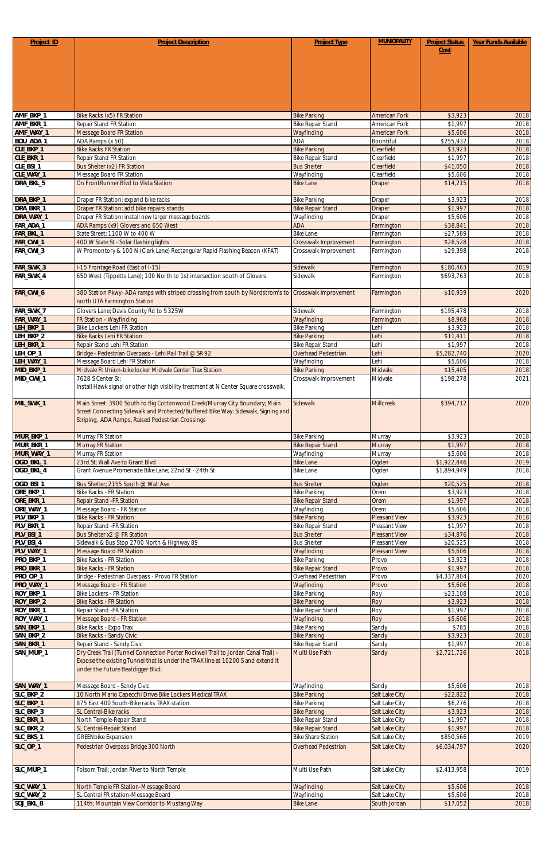| Project_ID                       | <b>Project Description</b>                                                                                                          | <b>Project Type</b>                             | <b>MUNICIPALITY</b>                   | <b>Project Status</b>      | Year Funds Available |
|----------------------------------|-------------------------------------------------------------------------------------------------------------------------------------|-------------------------------------------------|---------------------------------------|----------------------------|----------------------|
|                                  |                                                                                                                                     |                                                 |                                       | Cost                       |                      |
|                                  |                                                                                                                                     |                                                 |                                       |                            |                      |
|                                  |                                                                                                                                     |                                                 |                                       |                            |                      |
|                                  |                                                                                                                                     |                                                 |                                       |                            |                      |
|                                  |                                                                                                                                     |                                                 |                                       |                            |                      |
| AMF_BKP_1                        | <b>Bike Racks (x5) FR Station</b>                                                                                                   | <b>Bike Parking</b>                             | <b>American Fork</b>                  | \$3,923                    | 2018                 |
| AMF_BKR_1                        | Repair Stand FR Station                                                                                                             | <b>Bike Repair Stand</b>                        | American Fork                         | \$1,997                    | 2018                 |
| AMF_WAY_1<br>BOU_ADA_1           | <b>Message Board FR Station</b><br>ADA Ramps (x 50)                                                                                 | Wayfinding<br><b>ADA</b>                        | <b>American Fork</b><br>Bountiful     | \$5,606<br>\$255,932       | 2018<br>2018         |
| CLE_BKP_1                        | <b>Bike Racks FR Station</b>                                                                                                        | <b>Bike Parking</b>                             | Clearfield                            | \$3,923                    | 2018                 |
| CLE_BKR_1                        | Repair Stand FR Station                                                                                                             | <b>Bike Repair Stand</b>                        | Clearfield                            | \$1,997                    | 2018                 |
| CLE_BSI_1<br>CLE_WAY_1           | Bus Shelter (x2) FR Station<br>Message Board FR Station                                                                             | <b>Bus Shelter</b><br>Wayfinding                | Clearfield<br>Clearfield              | \$41,050<br>\$5,606        | 2018<br>2018         |
| DRA_BKL_5                        | On FrontRunner Blvd to Vista Station                                                                                                | <b>Bike Lane</b>                                | Draper                                | \$14,215                   | 2018                 |
| DRA_BKP_1                        |                                                                                                                                     | <b>Bike Parking</b>                             |                                       | \$3,923                    |                      |
| DRA_BKR_1                        | Draper FR Station: expand bike racks<br>Draper FR Station: add bike repairs stands                                                  | <b>Bike Repair Stand</b>                        | Draper<br><b>Draper</b>               | \$1,997                    | 2018<br>2018         |
| DRA_WAY_1                        | Draper FR Station: install new larger message boards                                                                                | Wayfinding                                      | Draper                                | \$5,606                    | 2018                 |
| FAR_ADA_1<br>FAR_BKL_1           | ADA Ramps (x9) Glovers and 650 West<br>State Street; 1100 W to 400 W                                                                | <b>ADA</b><br><b>Bike Lane</b>                  | Farmington                            | \$38,841<br>\$27,589       | 2018<br>2018         |
| FAR_CWI_1                        | 400 W State St - Solar flashing lights                                                                                              | Crosswalk Improvement                           | Farmington<br>Farmington              | \$28,528                   | 2018                 |
| FAR_CWI_3                        | W Promontory & 100 N (Clark Lane) Rectangular Rapid Flashing Beacon (KFAT)                                                          | Crosswalk Improvement                           | Farmington                            | \$29,398                   | 2018                 |
| FAR_SWK_3                        | I-15 Frontage Road (East of I-15)                                                                                                   | Sidewalk                                        |                                       | \$180,463                  | 2019                 |
| FAR_SWK_4                        | 650 West (Tippetts Lane); 100 North to 1st intersection south of Glovers                                                            | Sidewalk                                        | Farmington<br>Farmington              | \$693,763                  | 2018                 |
|                                  |                                                                                                                                     |                                                 |                                       |                            |                      |
| FAR_CWI_6                        | 380 Station Pkwy-ADA ramps with striped crossing from south by Nordstrom's to Crosswalk Improvement<br>north UTA Farmington Station |                                                 | Farmington                            | \$10,939                   | 2020                 |
| FAR_SWK_7                        | Glovers Lane; Davis County Rd to S 325W                                                                                             | Sidewalk                                        | Farmington                            | \$195,478                  | 2018                 |
| FAR_WAY_1                        | FR Station - Wayfinding                                                                                                             | Wayfinding                                      | Farmington                            | \$8,968                    | 2018                 |
| LEH_BKP_1<br>LEH_BKP_2           | Bike Lockers Lehi FR Station<br><b>Bike Racks Lehi FR Station</b>                                                                   | <b>Bike Parking</b><br><b>Bike Parking</b>      | Lehi<br>Lehi                          | \$3,923<br>\$11,411        | 2018<br>2018         |
| LEH_BKR_1                        | Repair Stand Lehi FR Station                                                                                                        | <b>Bike Repair Stand</b>                        | Lehi                                  | \$1,997                    | 2018                 |
| LEH_OP_1                         | Bridge - Pedestrian Overpass - Lehi Rail Trail @ SR 92                                                                              | Overhead Pedestrian                             | Lehi                                  | \$5,282,740                | 2020                 |
| LEH_WAY_1<br>MID_BKP_1           | Message Board Lehi FR Station<br>Midvale Ft Union-bike locker Midvale Center Trax Station                                           | Wayfinding<br><b>Bike Parking</b>               | Lehi<br>Midvale                       | \$5,606<br>\$15,405        | 2018<br>2018         |
| MID_CWI_1                        | 7628 S Center St;                                                                                                                   | Crosswalk Improvement                           | Midvale                               | \$198,278                  | 2021                 |
|                                  | Install Hawk signal or other high visibility treatment at N Center Square crosswalk.                                                |                                                 |                                       |                            |                      |
| MIL_SWK_1                        | Main Street: 3900 South to Big Cottonwood Creek/Murray City Boundary; Main                                                          | Sidewalk                                        | <b>Millcreek</b>                      | \$394,712                  | 2020                 |
|                                  | Street Connecting Sidewalk and Protected/Buffered Bike Way: Sidewalk, Signing and                                                   |                                                 |                                       |                            |                      |
|                                  | Striping, ADA Ramps, Raised Pedestrian Crossings                                                                                    |                                                 |                                       |                            |                      |
| MUR_BKP_1                        | Murray FR Station                                                                                                                   | <b>Bike Parking</b>                             | Murray                                | \$3,923                    | 2018                 |
| MUR_BKR_1                        | <b>Murray FR Station</b>                                                                                                            | <b>Bike Repair Stand</b>                        | <b>Murray</b>                         | \$1,997                    | 2018                 |
| MUR_WAY_1                        | Murray FR Station                                                                                                                   | Wayfinding                                      | Murray                                | \$5,606                    | 2018                 |
| OGD_BKL_1<br>OGD_BKL_4           | 23rd St; Wall Ave to Grant Blvd<br>Grant Avenue Promenade Bike Lane; 22nd St - 24th St                                              | <b>Bike Lane</b><br><b>Bike Lane</b>            | Ogden<br>Ogden                        | \$1,922,846<br>\$1,894,949 | 2019<br>2018         |
|                                  |                                                                                                                                     |                                                 |                                       |                            |                      |
| OGD_BSI_1<br>ORE_BKP_1           | Bus Shelter; 2155 South @ Wall Ave<br><b>Bike Racks - FR Station</b>                                                                | <b>Bus Shelter</b><br><b>Bike Parking</b>       | Ogden<br>Orem                         | \$20,525<br>\$3,923        | 2018<br>2018         |
| ORE_BKR_1                        | <b>Repair Stand -FR Station</b>                                                                                                     | <b>Bike Repair Stand</b>                        | Orem                                  | \$1,997                    | 2018                 |
| ORE_WAY_1                        | Message Board - FR Station                                                                                                          | Wayfinding                                      | Orem                                  | \$5,606                    | 2018                 |
| PLV_BKP_1<br>PLV_BKR_1           | <b>Bike Racks - FR Station</b><br>Repair Stand - FR Station                                                                         | <b>Bike Parking</b><br><b>Bike Repair Stand</b> | <b>Pleasant View</b><br>Pleasant View | \$3,923<br>\$1,997         | 2018<br>2018         |
| PLV_BSI_1                        | Bus Shelter x2 @ FR Station                                                                                                         | <b>Bus Shelter</b>                              | Pleasant View                         | \$34,876                   | 2018                 |
| PLV_BSI_4                        | Sidewalk & Bus Stop 2700 North & Highway 89                                                                                         | <b>Bus Shelter</b>                              | Pleasant View                         | \$20,525                   | 2018                 |
| PLV_WAY_1                        | <b>Message Board FR Station</b>                                                                                                     | Wayfinding                                      | <b>Pleasant View</b>                  | \$5,606                    | 2018                 |
| PRO_BKP_1<br>PRO_BKR_1           | <b>Bike Racks - FR Station</b><br><b>Bike Racks - FR Station</b>                                                                    | <b>Bike Parking</b><br><b>Bike Repair Stand</b> | Provo<br>Provo                        | \$3,923<br>\$1,997         | 2018<br>2018         |
| PRO_OP_1                         | Bridge - Pedestrian Overpass - Provo FR Station                                                                                     | Overhead Pedestrian                             | Provo                                 | \$4,337,804                | 2020                 |
| PRO_WAY_1                        | Message Board - FR Station                                                                                                          | Wayfinding                                      | Provo                                 | \$5,606                    | 2018                 |
| ROY_BKP_1<br>ROY_BKP_2           | <b>Bike Lockers - FR Station</b><br><b>Bike Racks - FR Station</b>                                                                  | <b>Bike Parking</b><br><b>Bike Parking</b>      | Roy<br>Roy                            | \$23,108<br>\$3,923        | 2018<br>2018         |
| ROY_BKR_1                        | Repair Stand - FR Station                                                                                                           | <b>Bike Repair Stand</b>                        | Roy                                   | \$1,997                    | 2018                 |
| ROY_WAY_1                        | Message Board - FR Station                                                                                                          | Wayfinding                                      | Roy                                   | \$5,606                    | 2018                 |
| SAN_BKP_1<br>SAN_BKP_2           | Bike Racks - Expo Trax                                                                                                              | <b>Bike Parking</b><br><b>Bike Parking</b>      | Sandy                                 | \$785<br>\$3,923           | 2018                 |
| SAN_BKR_1                        | <b>Bike Racks - Sandy Civic</b><br>Repair Stand - Sandy Civic                                                                       | <b>Bike Repair Stand</b>                        | Sandy<br>Sandy                        | \$1,997                    | 2018<br>2018         |
| SAN_MUP_1                        | Dry Creek Trail (Tunnel Connection Porter Rockwell Trail to Jordan Canal Trail) -                                                   | <b>Multi Use Path</b>                           | Sandy                                 | \$2,721,726                | 2018                 |
|                                  | Expose the existing Tunnel that is under the TRAX line at 10200 S and extend it                                                     |                                                 |                                       |                            |                      |
|                                  | under the Future Beatdigger Blvd.                                                                                                   |                                                 |                                       |                            |                      |
| SAN_WAY_1                        | Message Board - Sandy Civic                                                                                                         | Wayfinding                                      | Sandy                                 | \$5,606                    | 2018                 |
| SLC BKP 2                        | 10 North Mario Capecchi Drive-Bike Lockers Medical TRAX                                                                             | <b>Bike Parking</b>                             | Salt Lake City                        | \$22,822                   | 2018                 |
| SLC_BKP_1<br>SLC_BKP_3           | 875 East 400 South-Bike racks TRAX station<br>SL Central-Bike racks                                                                 | <b>Bike Parking</b><br><b>Bike Parking</b>      | Salt Lake City<br>Salt Lake City      | \$6,276<br>\$3,923         | 2018<br>2018         |
| SLC_BKR_1                        | North Temple-Repair Stand                                                                                                           | <b>Bike Repair Stand</b>                        | Salt Lake City                        | \$1,997                    | 2018                 |
| SLC_BKR_2                        | SL Central-Repair Stand                                                                                                             | <b>Bike Repair Stand</b>                        | Salt Lake City                        | \$1,997                    | 2018                 |
| SLC_BKS_1                        | <b>GREENbike Expansion</b>                                                                                                          | <b>Bike Share Station</b>                       | Salt Lake City                        | \$850,566                  | 2019                 |
| $SLC$ <sup>OP</sup> <sup>1</sup> | Pedestrian Overpass Bridge 300 North                                                                                                | Overhead Pedestrian                             | Salt Lake City                        | \$6,034,797                | 2020                 |
|                                  |                                                                                                                                     |                                                 |                                       |                            |                      |
| SLC_MUP_1                        | Folsom Trail; Jordan River to North Temple                                                                                          | Multi Use Path                                  | Salt Lake City                        | \$2,413,958                | 2019                 |
| SLC_WAY_1                        | North Temple FR Station-Message Board                                                                                               | Wayfinding                                      | Salt Lake City                        | \$5,606                    | 2018                 |
| SLC_WAY_2<br>SOJ_BKL_8           | SL Central FR station-Message Board<br>114th; Mountain View Corridor to Mustang Way                                                 | Wayfinding<br><b>Bike Lane</b>                  | Salt Lake City<br>South Jordan        | \$5,606<br>\$17,052        | 2018<br>2018         |
|                                  |                                                                                                                                     |                                                 |                                       |                            |                      |